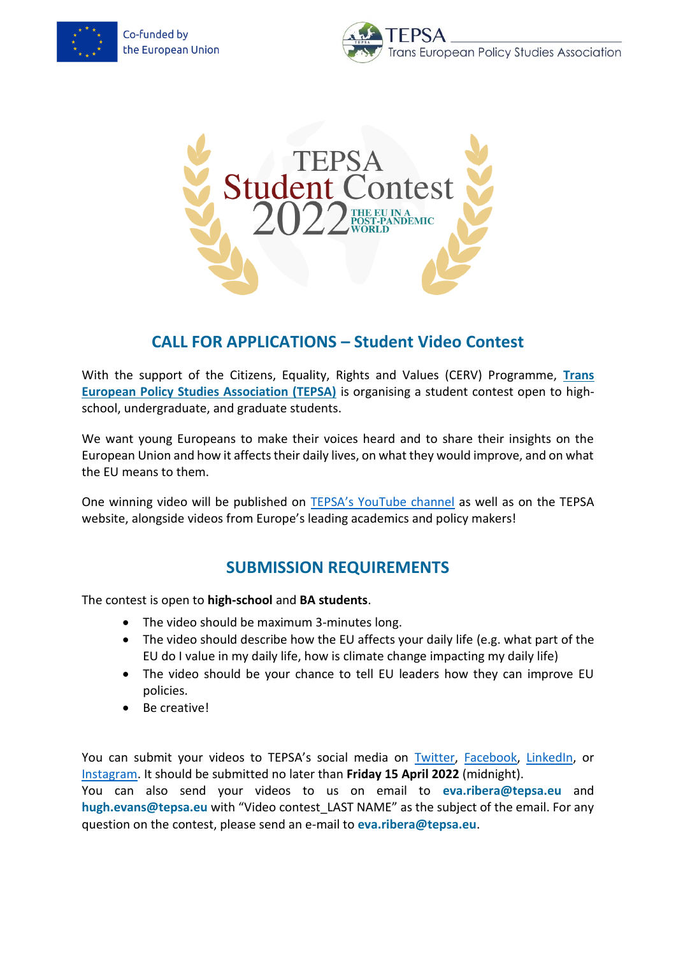Co-funded by the European Union





## **CALL FOR APPLICATIONS – Student Video Contest**

With the support of the Citizens, Equality, Rights and Values (CERV) Programme, **[Trans](http://www.tepsa.eu/)  [European Policy Studies Association \(TEPSA\)](http://www.tepsa.eu/)** is organising a student contest open to highschool, undergraduate, and graduate students.

We want young Europeans to make their voices heard and to share their insights on the European Union and how it affects their daily lives, on what they would improve, and on what the EU means to them.

One winning video will be published on [TEPSA's YouTube channel](https://www.youtube.com/channel/UCUPee8M4FILItxfhsEDhUDg) as well as on the TEPSA website, alongside videos from Europe's leading academics and policy makers!

## **SUBMISSION REQUIREMENTS**

The contest is open to **high-school** and **BA students**.

- The video should be maximum 3-minutes long.
- The video should describe how the EU affects your daily life (e.g. what part of the EU do I value in my daily life, how is climate change impacting my daily life)
- The video should be your chance to tell EU leaders how they can improve EU policies.
- Be creative!

You can submit your videos to TEPSA's social media on [Twitter,](https://twitter.com/tepsaeu) [Facebook,](https://www.facebook.com/tepsa.eu) [LinkedIn,](https://www.linkedin.com/company/24427888) or [Instagram.](https://www.instagram.com/tepsaeu/) It should be submitted no later than **Friday 15 April 2022** (midnight).

You can also send your videos to us on email to **eva.ribera@tepsa.eu** and hugh.evans@tepsa.eu with "Video contest LAST NAME" as the subject of the email. For any question on the contest, please send an e-mail to **eva.ribera@tepsa.eu**.